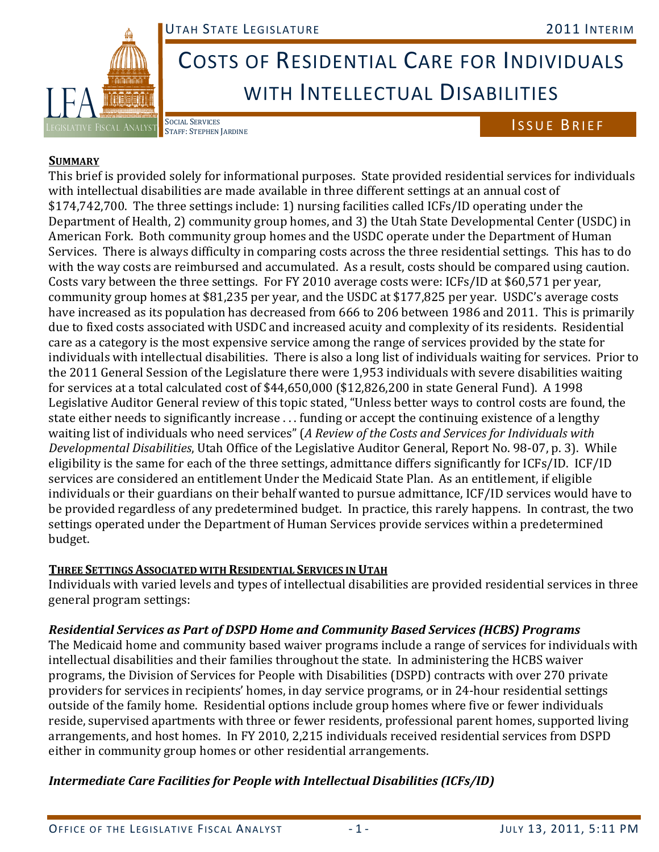

# COSTS OF RESIDENTIAL CARE FOR INDIVIDUALS WITH INTELLECTUAL DISABILITIES

### ISSUE BRIEF

#### **SUMMARY**

This brief is provided solely for informational purposes. State provided residential services for individuals with intellectual disabilities are made available in three different settings at an annual cost of \$174,742,700. The three settings include: 1) nursing facilities called ICFs/ID operating under the Department of Health, 2) community group homes, and 3) the Utah State Developmental Center (USDC) in American Fork. Both community group homes and the USDC operate under the Department of Human Services. There is always difficulty in comparing costs across the three residential settings. This has to do with the way costs are reimbursed and accumulated. As a result, costs should be compared using caution. Costs vary between the three settings. For FY 2010 average costs were: ICFs/ID at \$60,571 per year, community group homes at \$81,235 per year, and the USDC at \$177,825 per year. USDC's average costs have increased as its population has decreased from 666 to 206 between 1986 and 2011. This is primarily due to fixed costs associated with USDC and increased acuity and complexity of its residents. Residential care as a category is the most expensive service among the range of services provided by the state for individuals with intellectual disabilities. There is also a long list of individuals waiting for services. Prior to the 2011 General Session of the Legislature there were 1,953 individuals with severe disabilities waiting for services at a total calculated cost of \$44,650,000 (\$12,826,200 in state General Fund). A 1998 Legislative Auditor General review of this topic stated, "Unless better ways to control costs are found, the state either needs to significantly increase . . . funding or accept the continuing existence of a lengthy waiting list of individuals who need services" (*A Review of the Costs and Services for Individuals with Developmental Disabilities*, Utah Office of the Legislative Auditor General, Report No. 98-07, p. 3). While eligibility is the same for each of the three settings, admittance differs significantly for ICFs/ID. ICF/ID services are considered an entitlement Under the Medicaid State Plan. As an entitlement, if eligible individuals or their guardians on their behalf wanted to pursue admittance, ICF/ID services would have to be provided regardless of any predetermined budget. In practice, this rarely happens. In contrast, the two settings operated under the Department of Human Services provide services within a predetermined budget.

#### **THREE SETTINGS ASSOCIATED WITH RESIDENTIAL SERVICES IN UTAH**

Individuals with varied levels and types of intellectual disabilities are provided residential services in three general program settings:

#### *Residential Services as Part of DSPD Home and Community Based Services (HCBS) Programs*

The Medicaid home and community based waiver programs include a range of services for individuals with intellectual disabilities and their families throughout the state. In administering the HCBS waiver programs, the Division of Services for People with Disabilities (DSPD) contracts with over 270 private providers for services in recipients' homes, in day service programs, or in 24-hour residential settings outside of the family home. Residential options include group homes where five or fewer individuals reside, supervised apartments with three or fewer residents, professional parent homes, supported living arrangements, and host homes. In FY 2010, 2,215 individuals received residential services from DSPD either in community group homes or other residential arrangements.

#### *Intermediate Care Facilities for People with Intellectual Disabilities (ICFs/ID)*

SOCIAL SERVICES<br>STAFF: STEPHEN JARDINE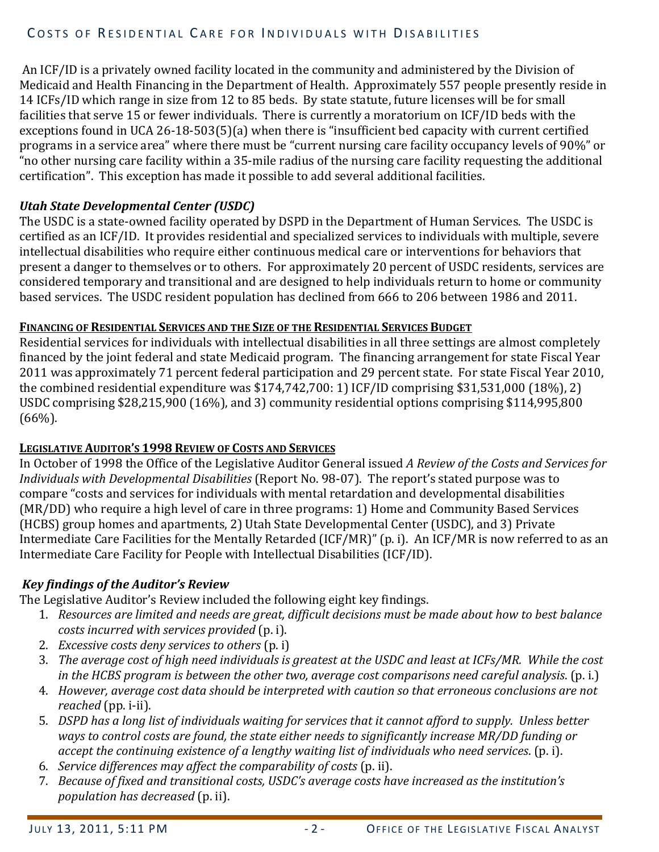#### COSTS OF RESIDENTIAL CARE FOR INDIVIDUALS WITH DISABILITIES

 An ICF/ID is a privately owned facility located in the community and administered by the Division of Medicaid and Health Financing in the Department of Health. Approximately 557 people presently reside in 14 ICFs/ID which range in size from 12 to 85 beds. By state statute, future licenses will be for small facilities that serve 15 or fewer individuals. There is currently a moratorium on ICF/ID beds with the exceptions found in UCA 26-18-503(5)(a) when there is "insufficient bed capacity with current certified programs in a service area" where there must be "current nursing care facility occupancy levels of 90%" or "no other nursing care facility within a 35-mile radius of the nursing care facility requesting the additional certification". This exception has made it possible to add several additional facilities.

#### *Utah State Developmental Center (USDC)*

The USDC is a state-owned facility operated by DSPD in the Department of Human Services. The USDC is certified as an ICF/ID. It provides residential and specialized services to individuals with multiple, severe intellectual disabilities who require either continuous medical care or interventions for behaviors that present a danger to themselves or to others. For approximately 20 percent of USDC residents, services are considered temporary and transitional and are designed to help individuals return to home or community based services. The USDC resident population has declined from 666 to 206 between 1986 and 2011.

#### **FINANCING OF RESIDENTIAL SERVICES AND THE SIZE OF THE RESIDENTIAL SERVICES BUDGET**

Residential services for individuals with intellectual disabilities in all three settings are almost completely financed by the joint federal and state Medicaid program. The financing arrangement for state Fiscal Year 2011 was approximately 71 percent federal participation and 29 percent state. For state Fiscal Year 2010, the combined residential expenditure was \$174,742,700: 1) ICF/ID comprising \$31,531,000 (18%), 2) USDC comprising \$28,215,900 (16%), and 3) community residential options comprising \$114,995,800 (66%).

#### **LEGISLATIVE AUDITOR'S 1998 REVIEW OF COSTS AND SERVICES**

In October of 1998 the Office of the Legislative Auditor General issued *A Review of the Costs and Services for Individuals with Developmental Disabilities* (Report No. 98-07). The report's stated purpose was to compare "costs and services for individuals with mental retardation and developmental disabilities (MR/DD) who require a high level of care in three programs: 1) Home and Community Based Services (HCBS) group homes and apartments, 2) Utah State Developmental Center (USDC), and 3) Private Intermediate Care Facilities for the Mentally Retarded (ICF/MR)" (p. i). An ICF/MR is now referred to as an Intermediate Care Facility for People with Intellectual Disabilities (ICF/ID).

#### *Key findings of the Auditor's Review*

The Legislative Auditor's Review included the following eight key findings.

- 1. *Resources are limited and needs are great, difficult decisions must be made about how to best balance costs incurred with services provided* (p. i).
- 2. *Excessive costs deny services to others* (p. i)
- 3. *The average cost of high need individuals is greatest at the USDC and least at ICFs/MR. While the cost in the HCBS program is between the other two, average cost comparisons need careful analysis*. (p. i.)
- 4. *However, average cost data should be interpreted with caution so that erroneous conclusions are not reached* (pp. i-ii).
- 5. *DSPD has a long list of individuals waiting for services that it cannot afford to supply. Unless better ways to control costs are found, the state either needs to significantly increase MR/DD funding or accept the continuing existence of a lengthy waiting list of individuals who need services*. (p. i).
- 6. *Service differences may affect the comparability of costs* (p. ii).
- 7. *Because of fixed and transitional costs, USDC's average costs have increased as the institution's population has decreased* (p. ii).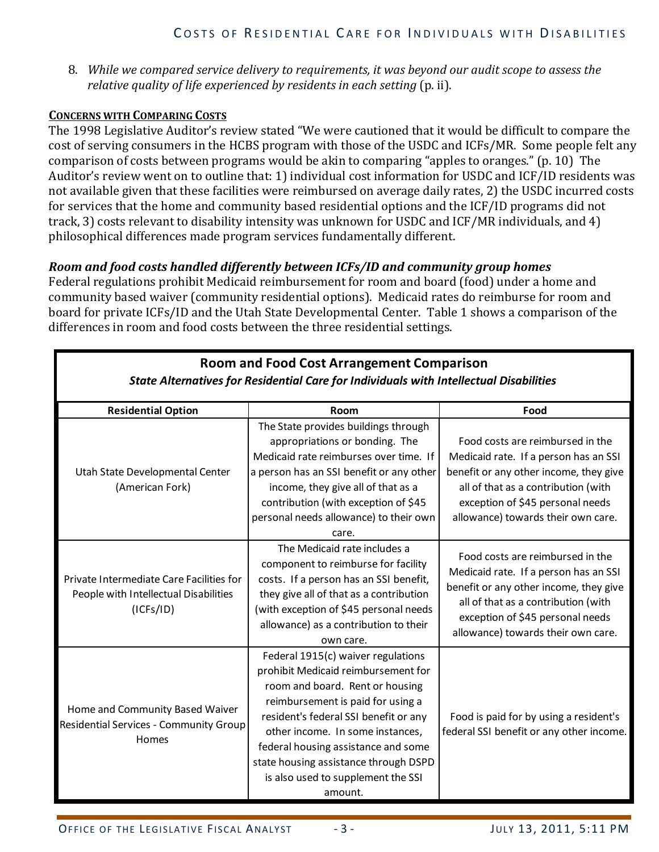8. *While we compared service delivery to requirements, it was beyond our audit scope to assess the relative quality of life experienced by residents in each setting* (p. ii).

#### **CONCERNS WITH COMPARING COSTS**

The 1998 Legislative Auditor's review stated "We were cautioned that it would be difficult to compare the cost of serving consumers in the HCBS program with those of the USDC and ICFs/MR. Some people felt any comparison of costs between programs would be akin to comparing "apples to oranges." (p. 10) The Auditor's review went on to outline that: 1) individual cost information for USDC and ICF/ID residents was not available given that these facilities were reimbursed on average daily rates, 2) the USDC incurred costs for services that the home and community based residential options and the ICF/ID programs did not track, 3) costs relevant to disability intensity was unknown for USDC and ICF/MR individuals, and 4) philosophical differences made program services fundamentally different.

#### *Room and food costs handled differently between ICFs/ID and community group homes*

Federal regulations prohibit Medicaid reimbursement for room and board (food) under a home and community based waiver (community residential options). Medicaid rates do reimburse for room and board for private ICFs/ID and the Utah State Developmental Center. Table 1 shows a comparison of the differences in room and food costs between the three residential settings.

| <b>Room and Food Cost Arrangement Comparison</b>                                               |                                                                                                                                                                                                                                                                                                                                                                 |                                                                                                                                                                                                                                      |  |  |  |  |  |
|------------------------------------------------------------------------------------------------|-----------------------------------------------------------------------------------------------------------------------------------------------------------------------------------------------------------------------------------------------------------------------------------------------------------------------------------------------------------------|--------------------------------------------------------------------------------------------------------------------------------------------------------------------------------------------------------------------------------------|--|--|--|--|--|
| <b>State Alternatives for Residential Care for Individuals with Intellectual Disabilities</b>  |                                                                                                                                                                                                                                                                                                                                                                 |                                                                                                                                                                                                                                      |  |  |  |  |  |
| <b>Residential Option</b>                                                                      | Room                                                                                                                                                                                                                                                                                                                                                            | Food                                                                                                                                                                                                                                 |  |  |  |  |  |
| Utah State Developmental Center<br>(American Fork)                                             | The State provides buildings through<br>appropriations or bonding. The<br>Medicaid rate reimburses over time. If<br>a person has an SSI benefit or any other<br>income, they give all of that as a<br>contribution (with exception of \$45<br>personal needs allowance) to their own<br>care.                                                                   | Food costs are reimbursed in the<br>Medicaid rate. If a person has an SSI<br>benefit or any other income, they give<br>all of that as a contribution (with<br>exception of \$45 personal needs<br>allowance) towards their own care. |  |  |  |  |  |
| Private Intermediate Care Facilities for<br>People with Intellectual Disabilities<br>(ICFs/ID) | The Medicaid rate includes a<br>component to reimburse for facility<br>costs. If a person has an SSI benefit,<br>they give all of that as a contribution<br>(with exception of \$45 personal needs<br>allowance) as a contribution to their<br>own care.                                                                                                        | Food costs are reimbursed in the<br>Medicaid rate. If a person has an SSI<br>benefit or any other income, they give<br>all of that as a contribution (with<br>exception of \$45 personal needs<br>allowance) towards their own care. |  |  |  |  |  |
| Home and Community Based Waiver<br>Residential Services - Community Group<br>Homes             | Federal 1915(c) waiver regulations<br>prohibit Medicaid reimbursement for<br>room and board. Rent or housing<br>reimbursement is paid for using a<br>resident's federal SSI benefit or any<br>other income. In some instances,<br>federal housing assistance and some<br>state housing assistance through DSPD<br>is also used to supplement the SSI<br>amount. | Food is paid for by using a resident's<br>federal SSI benefit or any other income.                                                                                                                                                   |  |  |  |  |  |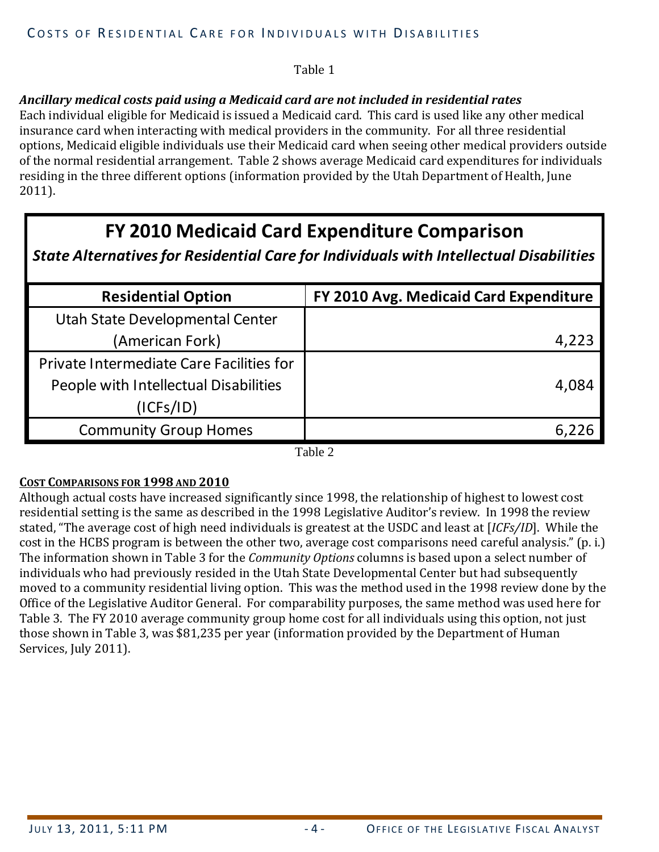#### Table 1

#### *Ancillary medical costs paid using a Medicaid card are not included in residential rates*

Each individual eligible for Medicaid is issued a Medicaid card. This card is used like any other medical insurance card when interacting with medical providers in the community. For all three residential options, Medicaid eligible individuals use their Medicaid card when seeing other medical providers outside of the normal residential arrangement. Table 2 shows average Medicaid card expenditures for individuals residing in the three different options (information provided by the Utah Department of Health, June 2011).

# **FY 2010 Medicaid Card Expenditure Comparison**

### *State Alternatives for Residential Care for Individuals with Intellectual Disabilities*

| <b>Residential Option</b>                | FY 2010 Avg. Medicaid Card Expenditure |
|------------------------------------------|----------------------------------------|
| Utah State Developmental Center          |                                        |
| (American Fork)                          | 4,223                                  |
| Private Intermediate Care Facilities for |                                        |
| People with Intellectual Disabilities    | 4,084                                  |
| (ICFs/ID)                                |                                        |
| <b>Community Group Homes</b>             |                                        |

Table 2

#### **COST COMPARISONS FOR 1998 AND 2010**

Although actual costs have increased significantly since 1998, the relationship of highest to lowest cost residential setting is the same as described in the 1998 Legislative Auditor's review. In 1998 the review stated, "The average cost of high need individuals is greatest at the USDC and least at [*ICFs/ID*]. While the cost in the HCBS program is between the other two, average cost comparisons need careful analysis." (p. i.) The information shown in Table 3 for the *Community Options* columns is based upon a select number of individuals who had previously resided in the Utah State Developmental Center but had subsequently moved to a community residential living option. This was the method used in the 1998 review done by the Office of the Legislative Auditor General. For comparability purposes, the same method was used here for Table 3. The FY 2010 average community group home cost for all individuals using this option, not just those shown in Table 3, was \$81,235 per year (information provided by the Department of Human Services, July 2011).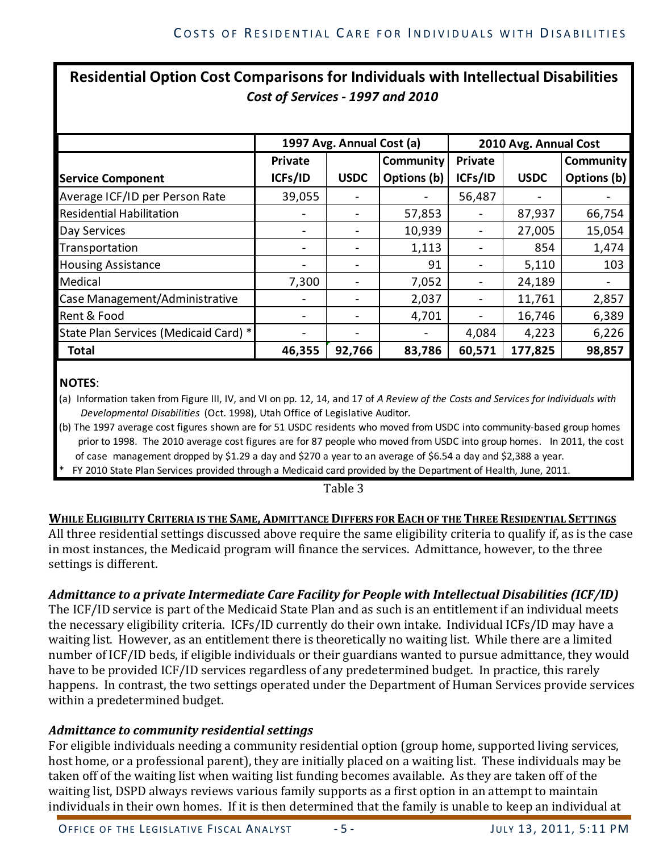# **Residential Option Cost Comparisons for Individuals with Intellectual Disabilities** *Cost of Services - 1997 and 2010*

|                                       |         | 1997 Avg. Annual Cost (a)    |                  |         | 2010 Avg. Annual Cost |             |  |  |
|---------------------------------------|---------|------------------------------|------------------|---------|-----------------------|-------------|--|--|
|                                       | Private |                              | <b>Community</b> | Private |                       | Community   |  |  |
| <b>Service Component</b>              | ICFs/ID | <b>USDC</b>                  | Options (b)      | ICFs/ID | <b>USDC</b>           | Options (b) |  |  |
| Average ICF/ID per Person Rate        | 39,055  |                              |                  | 56,487  |                       |             |  |  |
| <b>Residential Habilitation</b>       |         |                              | 57,853           |         | 87,937                | 66,754      |  |  |
| Day Services                          |         |                              | 10,939           |         | 27,005                | 15,054      |  |  |
| Transportation                        |         |                              | 1,113            |         | 854                   | 1,474       |  |  |
| <b>Housing Assistance</b>             |         |                              | 91               |         | 5,110                 | 103         |  |  |
| Medical                               | 7,300   |                              | 7,052            |         | 24,189                |             |  |  |
| Case Management/Administrative        | -       |                              | 2,037            |         | 11,761                | 2,857       |  |  |
| Rent & Food                           |         |                              | 4,701            |         | 16,746                | 6,389       |  |  |
| State Plan Services (Medicaid Card) * |         | $\qquad \qquad \blacksquare$ |                  | 4,084   | 4,223                 | 6,226       |  |  |
| <b>Total</b>                          | 46,355  | 92,766                       | 83,786           | 60,571  | 177,825               | 98,857      |  |  |

#### **NOTES**:

(a) Information taken from Figure III, IV, and VI on pp. 12, 14, and 17 of *A Review of the Costs and Services for Individuals with Developmental Disabilities* (Oct. 1998), Utah Office of Legislative Auditor.

(b) The 1997 average cost figures shown are for 51 USDC residents who moved from USDC into community-based group homes prior to 1998. The 2010 average cost figures are for 87 people who moved from USDC into group homes. In 2011, the cost of case management dropped by \$1.29 a day and \$270 a year to an average of \$6.54 a day and \$2,388 a year.

FY 2010 State Plan Services provided through a Medicaid card provided by the Department of Health, June, 2011.

Table 3

#### **WHILE ELIGIBILITY CRITERIA IS THE SAME, ADMITTANCE DIFFERS FOR EACH OF THE THREE RESIDENTIAL SETTINGS**

All three residential settings discussed above require the same eligibility criteria to qualify if, as is the case in most instances, the Medicaid program will finance the services. Admittance, however, to the three settings is different.

#### *Admittance to a private Intermediate Care Facility for People with Intellectual Disabilities (ICF/ID)*

The ICF/ID service is part of the Medicaid State Plan and as such is an entitlement if an individual meets the necessary eligibility criteria. ICFs/ID currently do their own intake. Individual ICFs/ID may have a waiting list. However, as an entitlement there is theoretically no waiting list. While there are a limited number of ICF/ID beds, if eligible individuals or their guardians wanted to pursue admittance, they would have to be provided ICF/ID services regardless of any predetermined budget. In practice, this rarely happens. In contrast, the two settings operated under the Department of Human Services provide services within a predetermined budget.

#### *Admittance to community residential settings*

For eligible individuals needing a community residential option (group home, supported living services, host home, or a professional parent), they are initially placed on a waiting list. These individuals may be taken off of the waiting list when waiting list funding becomes available. As they are taken off of the waiting list, DSPD always reviews various family supports as a first option in an attempt to maintain individuals in their own homes. If it is then determined that the family is unable to keep an individual at